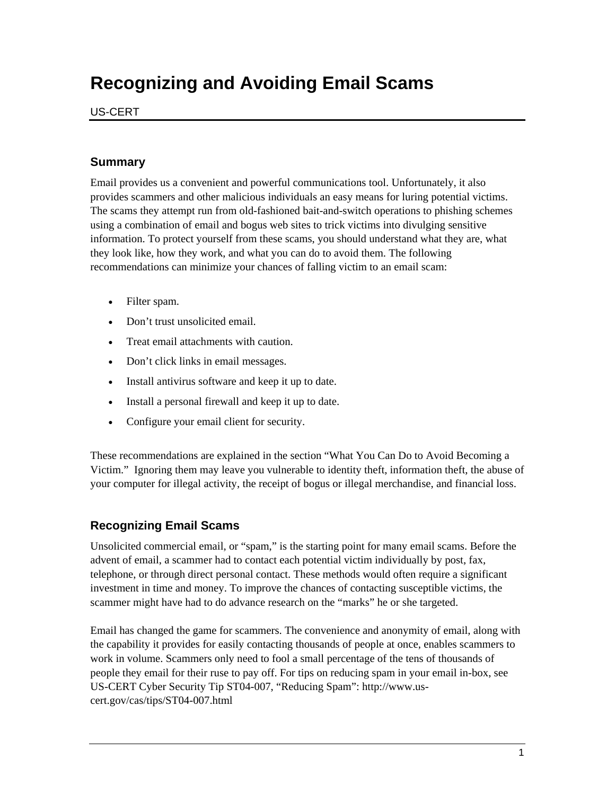# **Recognizing and Avoiding Email Scams**

#### US-CERT

## **Summary**

Email provides us a convenient and powerful communications tool. Unfortunately, it also provides scammers and other malicious individuals an easy means for luring potential victims. The scams they attempt run from old-fashioned bait-and-switch operations to phishing schemes using a combination of email and bogus web sites to trick victims into divulging sensitive information. To protect yourself from these scams, you should understand what they are, what they look like, how they work, and what you can do to avoid them. The following recommendations can minimize your chances of falling victim to an email scam:

- Filter spam.
- Don't trust unsolicited email.
- Treat email attachments with caution.
- Don't click links in email messages.
- Install antivirus software and keep it up to date.
- Install a personal firewall and keep it up to date.
- Configure your email client for security.

These recommendations are explained in the section "What You Can Do to Avoid Becoming a Victim." Ignoring them may leave you vulnerable to identity theft, information theft, the abuse of your computer for illegal activity, the receipt of bogus or illegal merchandise, and financial loss.

# **Recognizing Email Scams**

 advent of email, a scammer had to contact each potential victim individually by post, fax, Unsolicited commercial email, or "spam," is the starting point for many email scams. Before the telephone, or through direct personal contact. These methods would often require a significant investment in time and money. To improve the chances of contacting susceptible victims, the scammer might have had to do advance research on the "marks" he or she targeted.

Email has changed the game for scammers. The convenience and anonymity of email, along with the capability it provides for easily contacting thousands of people at once, enables scammers to work in volume. Scammers only need to fool a small percentage of the tens of thousands of people they email for their ruse to pay off. For tips on reducing spam in your email in-box, see US-CERT Cyber Security Tip ST04-007, "Reducing Spam": http://www.uscert.gov/cas/tips/ST04-007.html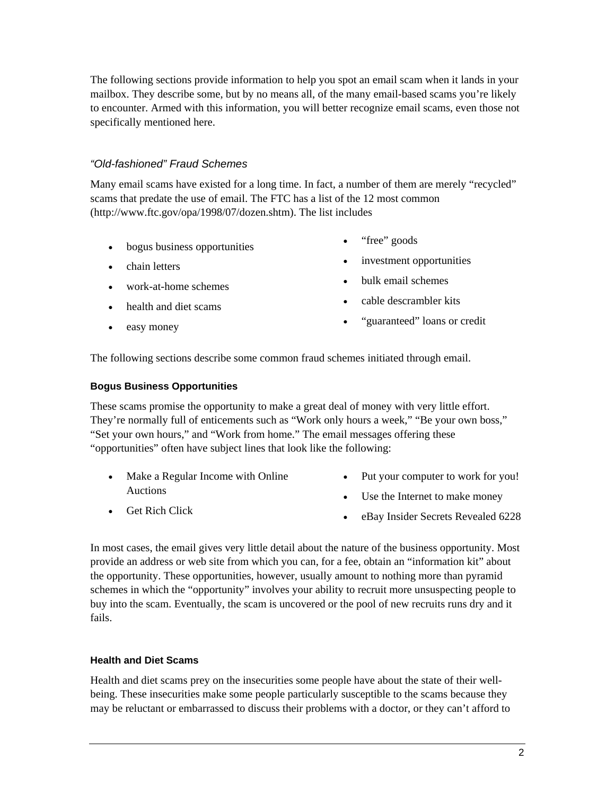The following sections provide information to help you spot an email scam when it lands in your mailbox. They describe some, but by no means all, of the many email-based scams you're likely to encounter. Armed with this information, you will better recognize email scams, even those not specifically mentioned here.

## *"Old-fashioned" Fraud Schemes*

Many email scams have existed for a long time. In fact, a number of them are merely "recycled" scams that predate the use of email. The FTC has a list of the 12 most common (http://www.ftc.gov/opa/1998/07/dozen.shtm). The list includes

- bogus business opportunities
- •chain letters
- •work-at-home schemes
- health and diet scams
- easy money
- •"free" goods
- investment opportunities
- •bulk email schemes
- •cable descrambler kits
- •"guaranteed" loans or credit

The following sections describe some common fraud schemes initiated through email.

#### **Bogus Business Opportunities**

These scams promise the opportunity to make a great deal of money with very little effort. They're normally full of enticements such as "Work only hours a week," "Be your own boss," "Set your own hours," and "Work from home." The email messages offering these "opportunities" often have subject lines that look like the following:

- Make a Regular Income with Online Put your computer to work for you! Auctions
- - Use the Internet to make money
- Get Rich Click
	- eBay Insider Secrets Revealed 6228

In most cases, the email gives very little detail about the nature of the business opportunity. Most provide an address or web site from which you can, for a fee, obtain an "information kit" about the opportunity. These opportunities, however, usually amount to nothing more than pyramid schemes in which the "opportunity" involves your ability to recruit more unsuspecting people to buy into the scam. Eventually, the scam is uncovered or the pool of new recruits runs dry and it fails.

#### **Health and Diet Scams**

Health and diet scams prey on the insecurities some people have about the state of their wellbeing. These insecurities make some people particularly susceptible to the scams because they may be reluctant or embarrassed to discuss their problems with a doctor, or they can't afford to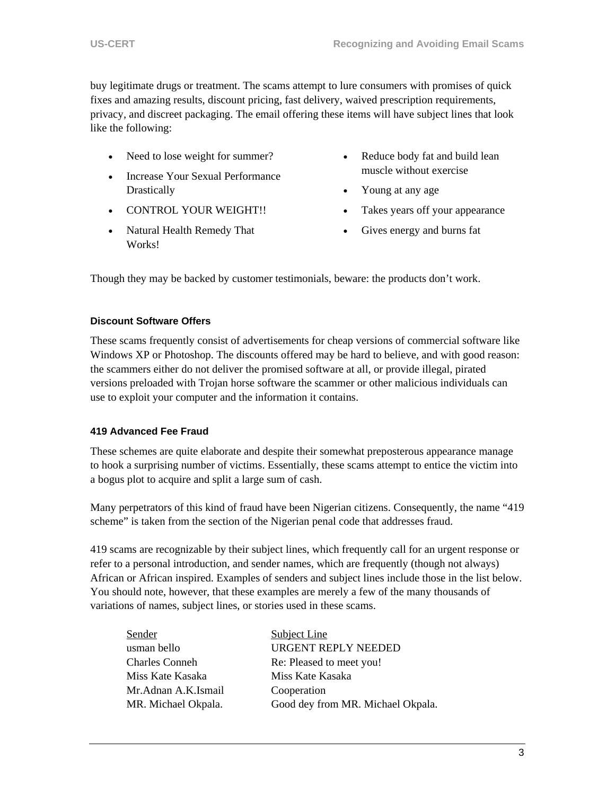buy legitimate drugs or treatment. The scams attempt to lure consumers with promises of quick fixes and amazing results, discount pricing, fast delivery, waived prescription requirements, privacy, and discreet packaging. The email offering these items will have subject lines that look like the following:

- Need to lose weight for summer? Reduce body fat and build lean
- Increase Your Sexual Performance muscle without exercise Drastically • Young at any age
- 
- Natural Health Remedy That Gives energy and burns fat Works!
- 
- 
- $\bullet$ • CONTROL YOUR WEIGHT!! • Takes years off your appearance
	-

Though they may be backed by customer testimonials, beware: the products don't work.

#### **Discount Software Offers**

These scams frequently consist of advertisements for cheap versions of commercial software like Windows XP or Photoshop. The discounts offered may be hard to believe, and with good reason: the scammers either do not deliver the promised software at all, or provide illegal, pirated versions preloaded with Trojan horse software the scammer or other malicious individuals can use to exploit your computer and the information it contains.

## **419 Advanced Fee Fraud**

These schemes are quite elaborate and despite their somewhat preposterous appearance manage to hook a surprising number of victims. Essentially, these scams attempt to entice the victim into a bogus plot to acquire and split a large sum of cash.

Many perpetrators of this kind of fraud have been Nigerian citizens. Consequently, the name "419 scheme" is taken from the section of the Nigerian penal code that addresses fraud.

419 scams are recognizable by their subject lines, which frequently call for an urgent response or refer to a personal introduction, and sender names, which are frequently (though not always) African or African inspired. Examples of senders and subject lines include those in the list below. You should note, however, that these examples are merely a few of the many thousands of variations of names, subject lines, or stories used in these scams.

| Sender              | Subject Line                      |
|---------------------|-----------------------------------|
| usman bello         | URGENT REPLY NEEDED               |
| Charles Conneh      | Re: Pleased to meet you!          |
| Miss Kate Kasaka    | Miss Kate Kasaka                  |
| Mr.Adnan A.K.Ismail | Cooperation                       |
| MR. Michael Okpala. | Good dey from MR. Michael Okpala. |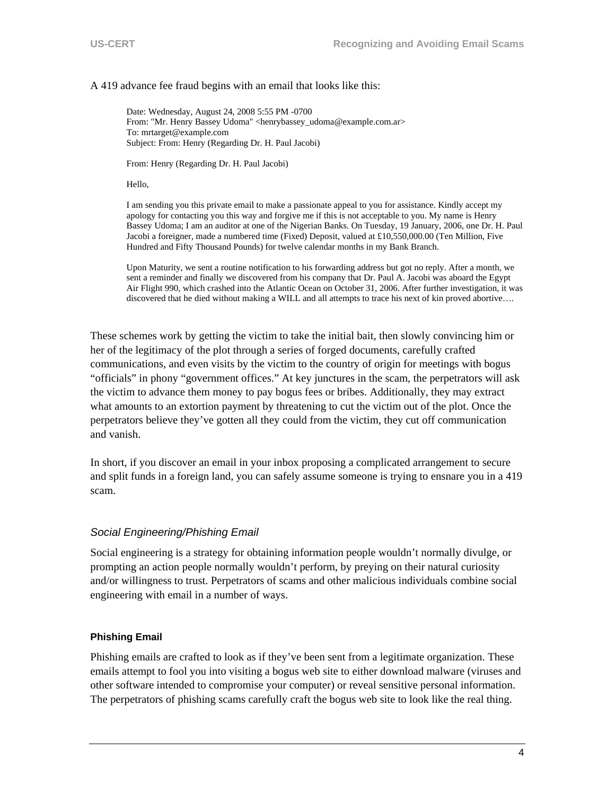#### A 419 advance fee fraud begins with an email that looks like this:

To: mrtarget@example.com Date: Wednesday, August 24, 2008 5:55 PM -0700 From: "Mr. Henry Bassey Udoma" <henrybassey\_udoma@example.com.ar> Subject: From: Henry (Regarding Dr. H. Paul Jacobi)

From: Henry (Regarding Dr. H. Paul Jacobi)

Hello,

I am sending you this private email to make a passionate appeal to you for assistance. Kindly accept my apology for contacting you this way and forgive me if this is not acceptable to you. My name is Henry Bassey Udoma; I am an auditor at one of the Nigerian Banks. On Tuesday, 19 January, 2006, one Dr. H. Paul Jacobi a foreigner, made a numbered time (Fixed) Deposit, valued at £10,550,000.00 (Ten Million, Five Hundred and Fifty Thousand Pounds) for twelve calendar months in my Bank Branch.

 sent a reminder and finally we discovered from his company that Dr. Paul A. Jacobi was aboard the Egypt Upon Maturity, we sent a routine notification to his forwarding address but got no reply. After a month, we Air Flight 990, which crashed into the Atlantic Ocean on October 31, 2006. After further investigation, it was discovered that he died without making a WILL and all attempts to trace his next of kin proved abortive….

These schemes work by getting the victim to take the initial bait, then slowly convincing him or her of the legitimacy of the plot through a series of forged documents, carefully crafted communications, and even visits by the victim to the country of origin for meetings with bogus "officials" in phony "government offices." At key junctures in the scam, the perpetrators will ask the victim to advance them money to pay bogus fees or bribes. Additionally, they may extract what amounts to an extortion payment by threatening to cut the victim out of the plot. Once the perpetrators believe they've gotten all they could from the victim, they cut off communication and vanish.

In short, if you discover an email in your inbox proposing a complicated arrangement to secure and split funds in a foreign land, you can safely assume someone is trying to ensnare you in a 419 scam.

## *Social Engineering/Phishing Email*

Social engineering is a strategy for obtaining information people wouldn't normally divulge, or prompting an action people normally wouldn't perform, by preying on their natural curiosity and/or willingness to trust. Perpetrators of scams and other malicious individuals combine social engineering with email in a number of ways.

#### **Phishing Email**

 The perpetrators of phishing scams carefully craft the bogus web site to look like the real thing. Phishing emails are crafted to look as if they've been sent from a legitimate organization. These emails attempt to fool you into visiting a bogus web site to either download malware (viruses and other software intended to compromise your computer) or reveal sensitive personal information.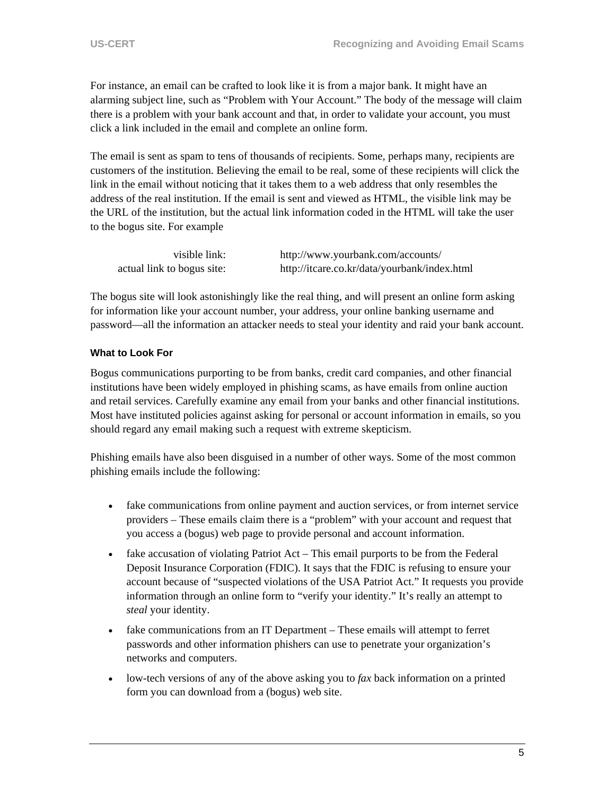For instance, an email can be crafted to look like it is from a major bank. It might have an alarming subject line, such as "Problem with Your Account." The body of the message will claim there is a problem with your bank account and that, in order to validate your account, you must click a link included in the email and complete an online form.

The email is sent as spam to tens of thousands of recipients. Some, perhaps many, recipients are customers of the institution. Believing the email to be real, some of these recipients will click the link in the email without noticing that it takes them to a web address that only resembles the address of the real institution. If the email is sent and viewed as HTML, the visible link may be the URL of the institution, but the actual link information coded in the HTML will take the user to the bogus site. For example

| visible link:              | http://www.yourbank.com/accounts/            |
|----------------------------|----------------------------------------------|
| actual link to bogus site: | http://itcare.co.kr/data/yourbank/index.html |

The bogus site will look astonishingly like the real thing, and will present an online form asking for information like your account number, your address, your online banking username and password—all the information an attacker needs to steal your identity and raid your bank account.

#### **What to Look For**

Bogus communications purporting to be from banks, credit card companies, and other financial institutions have been widely employed in phishing scams, as have emails from online auction and retail services. Carefully examine any email from your banks and other financial institutions. Most have instituted policies against asking for personal or account information in emails, so you should regard any email making such a request with extreme skepticism.

Phishing emails have also been disguised in a number of other ways. Some of the most common phishing emails include the following:

- •fake communications from online payment and auction services, or from internet service providers – These emails claim there is a "problem" with your account and request that you access a (bogus) web page to provide personal and account information.
- fake accusation of violating Patriot Act This email purports to be from the Federal Deposit Insurance Corporation (FDIC). It says that the FDIC is refusing to ensure your account because of "suspected violations of the USA Patriot Act." It requests you provide information through an online form to "verify your identity." It's really an attempt to *steal* your identity.
- fake communications from an IT Department These emails will attempt to ferret passwords and other information phishers can use to penetrate your organization's networks and computers.
- •low-tech versions of any of the above asking you to *fax* back information on a printed form you can download from a (bogus) web site.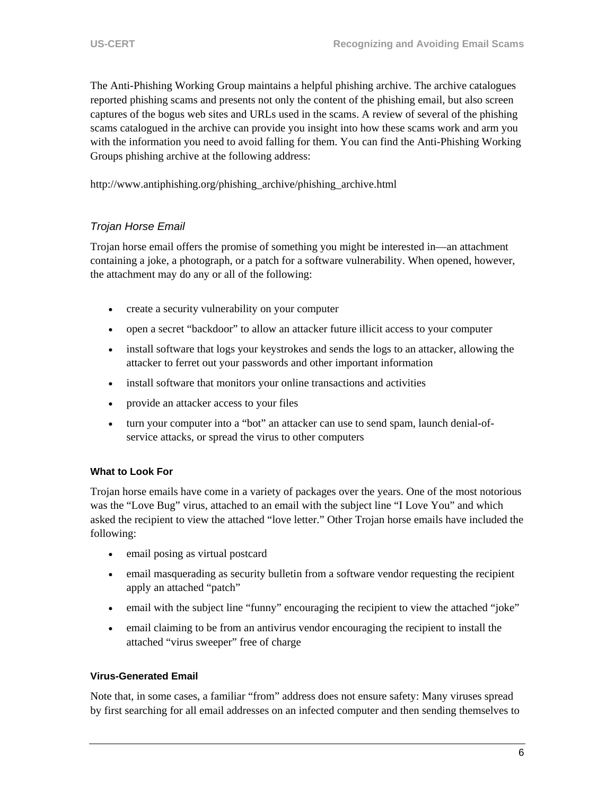The Anti-Phishing Working Group maintains a helpful phishing archive. The archive catalogues reported phishing scams and presents not only the content of the phishing email, but also screen captures of the bogus web sites and URLs used in the scams. A review of several of the phishing scams catalogued in the archive can provide you insight into how these scams work and arm you with the information you need to avoid falling for them. You can find the Anti-Phishing Working Groups phishing archive at the following address:

http://www.antiphishing.org/phishing\_archive/phishing\_archive.html

## *Trojan Horse Email*

Trojan horse email offers the promise of something you might be interested in—an attachment containing a joke, a photograph, or a patch for a software vulnerability. When opened, however, the attachment may do any or all of the following:

- create a security vulnerability on your computer
- open a secret "backdoor" to allow an attacker future illicit access to your computer
- •install software that logs your keystrokes and sends the logs to an attacker, allowing the attacker to ferret out your passwords and other important information
- •install software that monitors your online transactions and activities
- provide an attacker access to your files
- turn your computer into a "bot" an attacker can use to send spam, launch denial-of service attacks, or spread the virus to other computers

#### **What to Look For**

Trojan horse emails have come in a variety of packages over the years. One of the most notorious was the "Love Bug" virus, attached to an email with the subject line "I Love You" and which asked the recipient to view the attached "love letter." Other Trojan horse emails have included the following:

- email posing as virtual postcard
- email masquerading as security bulletin from a software vendor requesting the recipient apply an attached "patch"
- email with the subject line "funny" encouraging the recipient to view the attached "joke"
- email claiming to be from an antivirus vendor encouraging the recipient to install the attached "virus sweeper" free of charge

#### **Virus-Generated Email**

Note that, in some cases, a familiar "from" address does not ensure safety: Many viruses spread by first searching for all email addresses on an infected computer and then sending themselves to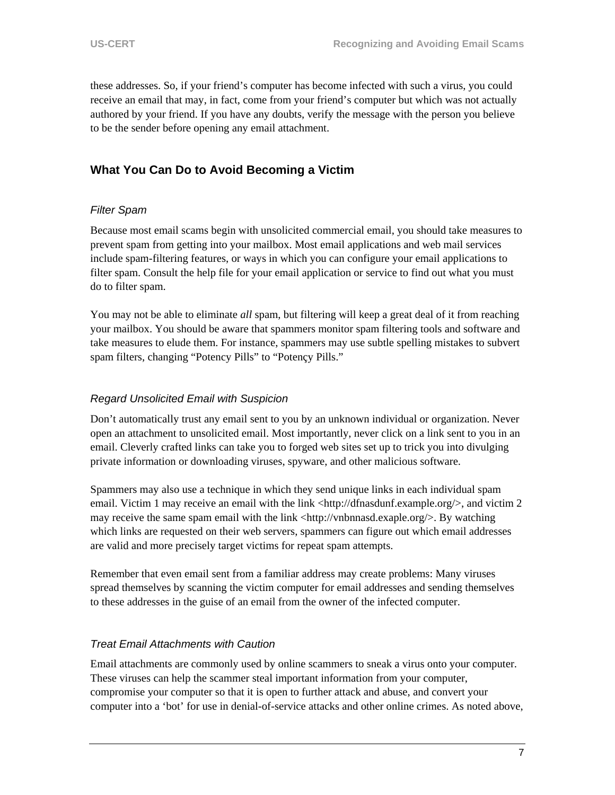these addresses. So, if your friend's computer has become infected with such a virus, you could receive an email that may, in fact, come from your friend's computer but which was not actually authored by your friend. If you have any doubts, verify the message with the person you believe to be the sender before opening any email attachment.

# **What You Can Do to Avoid Becoming a Victim**

## *Filter Spam*

Because most email scams begin with unsolicited commercial email, you should take measures to prevent spam from getting into your mailbox. Most email applications and web mail services include spam-filtering features, or ways in which you can configure your email applications to filter spam. Consult the help file for your email application or service to find out what you must do to filter spam.

You may not be able to eliminate *all* spam, but filtering will keep a great deal of it from reaching your mailbox. You should be aware that spammers monitor spam filtering tools and software and take measures to elude them. For instance, spammers may use subtle spelling mistakes to subvert spam filters, changing "Potency Pills" to "Potençy Pills."

## *Regard Unsolicited Email with Suspicion*

Don't automatically trust any email sent to you by an unknown individual or organization. Never open an attachment to unsolicited email. Most importantly, never click on a link sent to you in an email. Cleverly crafted links can take you to forged web sites set up to trick you into divulging private information or downloading viruses, spyware, and other malicious software.

Spammers may also use a technique in which they send unique links in each individual spam email. Victim 1 may receive an email with the link  $\langle \text{http://dfnasdunf.example.org/>}\rangle$ , and victim 2 may receive the same spam email with the link <http://vnbnnasd.exaple.org/>. By watching which links are requested on their web servers, spammers can figure out which email addresses are valid and more precisely target victims for repeat spam attempts.

Remember that even email sent from a familiar address may create problems: Many viruses spread themselves by scanning the victim computer for email addresses and sending themselves to these addresses in the guise of an email from the owner of the infected computer.

## *Treat Email Attachments with Caution*

Email attachments are commonly used by online scammers to sneak a virus onto your computer. These viruses can help the scammer steal important information from your computer, compromise your computer so that it is open to further attack and abuse, and convert your computer into a 'bot' for use in denial-of-service attacks and other online crimes. As noted above,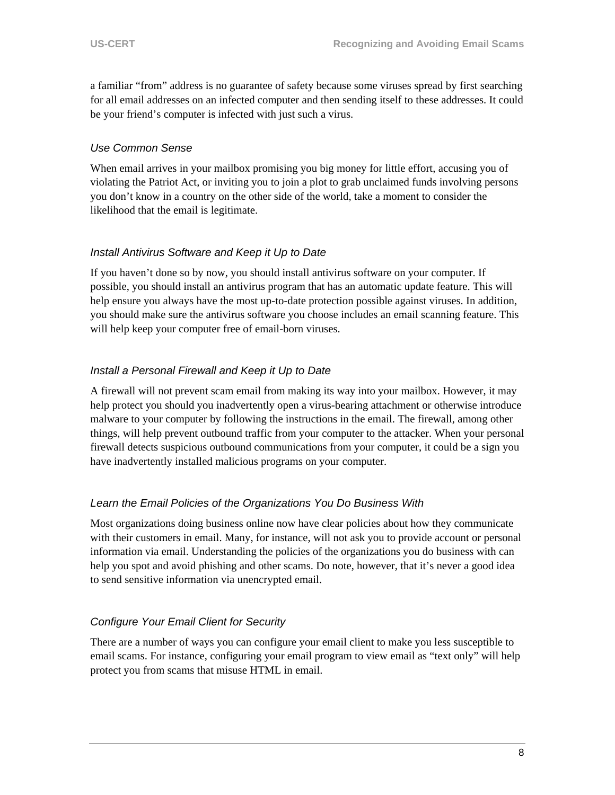a familiar "from" address is no guarantee of safety because some viruses spread by first searching for all email addresses on an infected computer and then sending itself to these addresses. It could be your friend's computer is infected with just such a virus.

## *Use Common Sense*

When email arrives in your mailbox promising you big money for little effort, accusing you of violating the Patriot Act, or inviting you to join a plot to grab unclaimed funds involving persons you don't know in a country on the other side of the world, take a moment to consider the likelihood that the email is legitimate.

## *Install Antivirus Software and Keep it Up to Date*

If you haven't done so by now, you should install antivirus software on your computer. If possible, you should install an antivirus program that has an automatic update feature. This will help ensure you always have the most up-to-date protection possible against viruses. In addition, you should make sure the antivirus software you choose includes an email scanning feature. This will help keep your computer free of email-born viruses.

## *Install a Personal Firewall and Keep it Up to Date*

A firewall will not prevent scam email from making its way into your mailbox. However, it may help protect you should you inadvertently open a virus-bearing attachment or otherwise introduce malware to your computer by following the instructions in the email. The firewall, among other things, will help prevent outbound traffic from your computer to the attacker. When your personal firewall detects suspicious outbound communications from your computer, it could be a sign you have inadvertently installed malicious programs on your computer.

## *Learn the Email Policies of the Organizations You Do Business With*

Most organizations doing business online now have clear policies about how they communicate with their customers in email. Many, for instance, will not ask you to provide account or personal information via email. Understanding the policies of the organizations you do business with can help you spot and avoid phishing and other scams. Do note, however, that it's never a good idea to send sensitive information via unencrypted email.

## *Configure Your Email Client for Security*

There are a number of ways you can configure your email client to make you less susceptible to email scams. For instance, configuring your email program to view email as "text only" will help protect you from scams that misuse HTML in email.